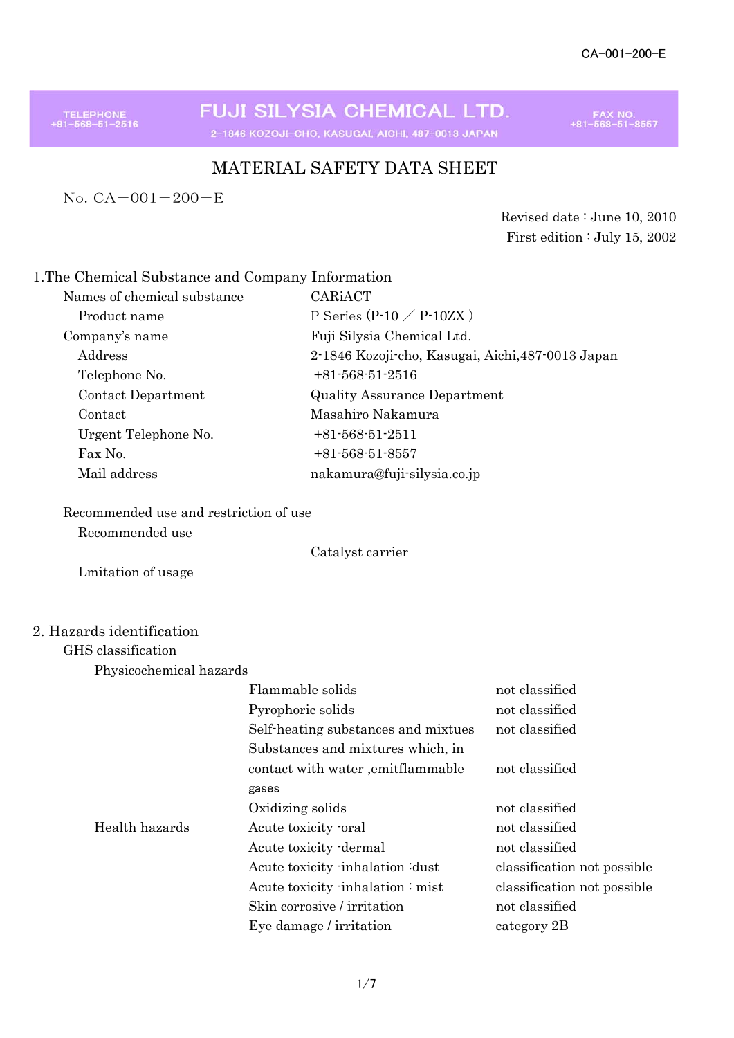TELEPHONE<br>+81-568-51-2516

FUJI SILYSIA CHEMICAL LTD. 2-1846 KOZOJI-CHO, KASUGAI, AICHI, 487-0013 JAPAN

FAX NO.<br>+81-568-51-8557

#### MATERIAL SAFETY DATA SHEET

No.CA-001-200-E

Revised date : June 10, 2010 First edition : July 15, 2002

#### 1.The Chemical Substance and Company Information

| Names of chemical substance | CARIACT                                           |
|-----------------------------|---------------------------------------------------|
| Product name                | P Series $(P-10 \angle P-10ZX)$                   |
| Company's name              | Fuji Silysia Chemical Ltd.                        |
| Address                     | 2-1846 Kozoji cho, Kasugai, Aichi, 487-0013 Japan |
| Telephone No.               | $+81.568.51.2516$                                 |
| Contact Department          | <b>Quality Assurance Department</b>               |
| Contact                     | Masahiro Nakamura                                 |
| Urgent Telephone No.        | $+81-568-51-2511$                                 |
| Fax No.                     | $+81.568.51.8557$                                 |
| Mail address                | nakamura@fuji-silysia.co.jp                       |
|                             |                                                   |

## Recommended use and restriction of use

Recommended use

Catalyst carrier

Lmitation of usage

#### 2. Hazards identification

#### GHS classification

Physicochemical hazards

|                | Flammable solids                    | not classified              |
|----------------|-------------------------------------|-----------------------------|
|                | Pyrophoric solids                   | not classified              |
|                | Self-heating substances and mixtues | not classified              |
|                | Substances and mixtures which, in   |                             |
|                | contact with water , emitflammable  | not classified              |
|                | gases                               |                             |
|                | Oxidizing solids                    | not classified              |
| Health hazards | Acute toxicity -oral                | not classified              |
|                | Acute toxicity dermal               | not classified              |
|                | Acute toxicity inhalation idust     | classification not possible |
|                | Acute toxicity inhalation: mist     | classification not possible |
|                | Skin corrosive / irritation         | not classified              |
|                | Eye damage / irritation             | category 2B                 |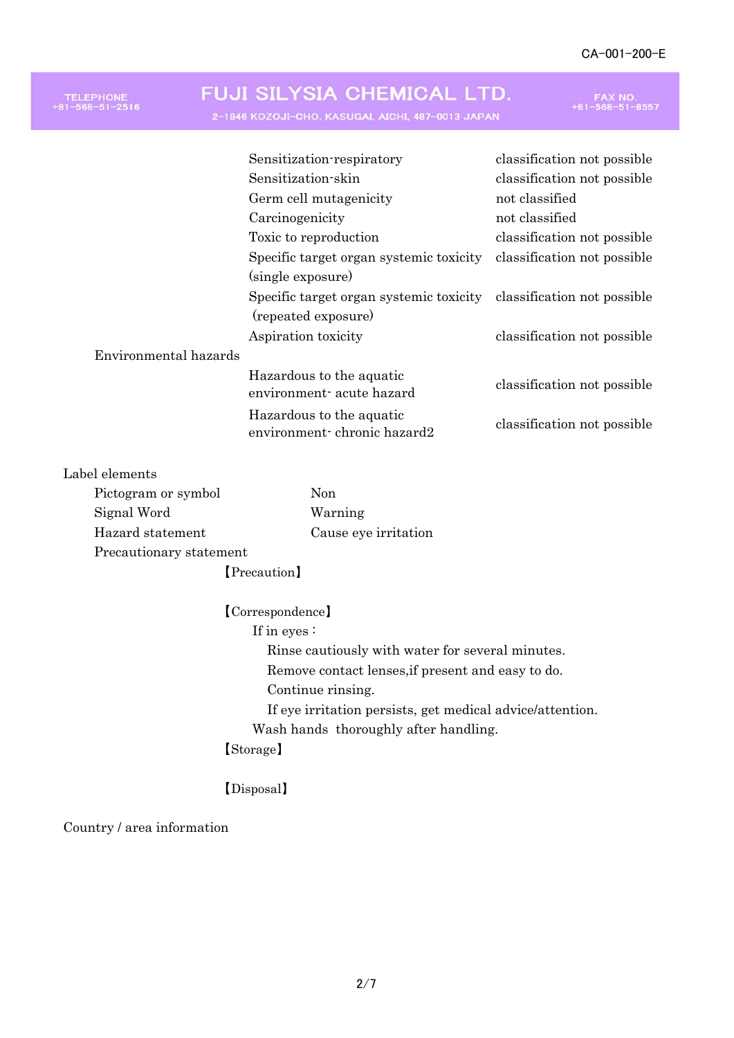#### FUJI SILYSIA CHEMICAL LTD. TELEPHONE<br>+81-568-51-2516 FAX NO.<br>+81-568-51-8557 2-1846 KOZOJI-CHO, KASUGAI, AICHI, 487-0013 JAPAN Sensitization-respiratory classification not possible Sensitization-skin classification not possible Germ cell mutagenicity not classified Carcinogenicity not classified

Toxic to reproduction classification not possible Specific target organ systemic toxicity classification not possible (single exposure) Specific target organ systemic toxicity classification not possible (repeated exposure) Aspiration toxicity classification not possible Environmental hazards Hazardous to the aquatic environment- chronic hazard2 classification not possible classification not possible Hazardous to the aquatic environment- acute hazard

#### Label elements

| Pictogram or symbol     | Non.                 |
|-------------------------|----------------------|
| Signal Word             | Warning              |
| Hazard statement        | Cause eye irritation |
| Precautionary statement |                      |
| [Precaution]            |                      |

【Correspondence】 If in eyes : Rinse cautiously with water for several minutes. Remove contact lenses,if present and easy to do. Continue rinsing. If eye irritation persists, get medical advice/attention. Wash hands thoroughly after handling. 【Storage】

【Disposal】

Country / area information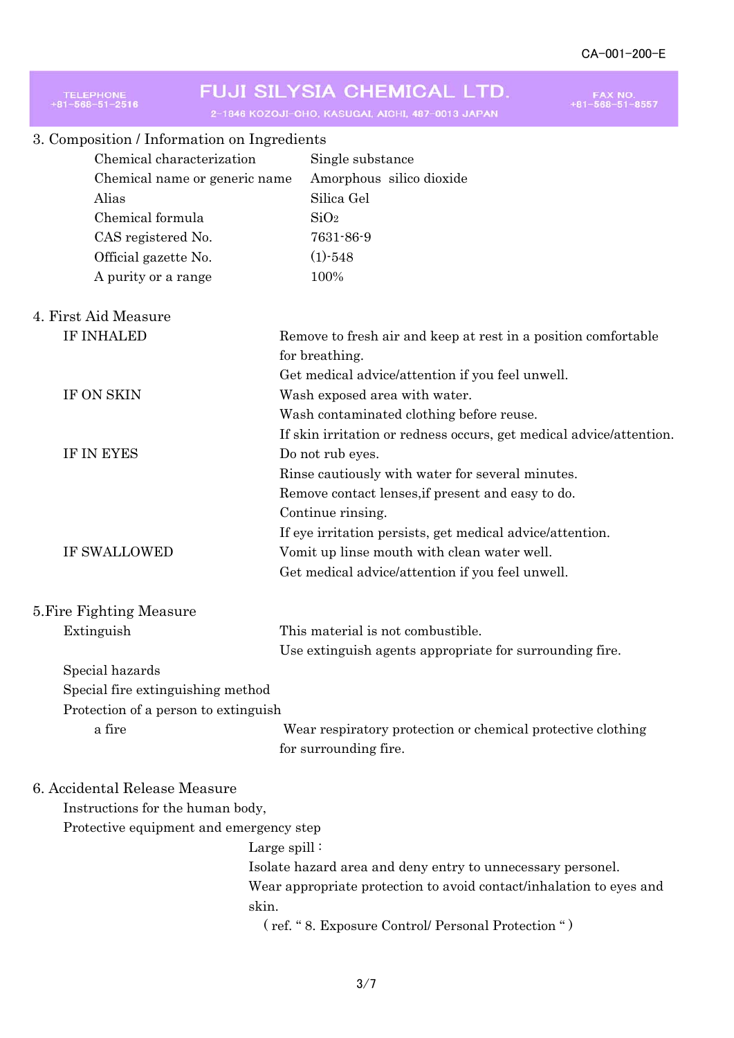| FUJI SILYSIA CHEMICAL LTD.<br><b>TELEPHONE</b><br>2-1846 KOZOJI-CHO, KASUGAI, AICHI, 487-0013 JAPAN |                                                                     |  |
|-----------------------------------------------------------------------------------------------------|---------------------------------------------------------------------|--|
| 3. Composition / Information on Ingredients                                                         |                                                                     |  |
| Chemical characterization                                                                           | Single substance                                                    |  |
| Chemical name or generic name                                                                       | Amorphous silico dioxide                                            |  |
| Alias                                                                                               | Silica Gel                                                          |  |
| Chemical formula                                                                                    | SiO <sub>2</sub>                                                    |  |
| CAS registered No.                                                                                  | 7631-86-9                                                           |  |
| Official gazette No.                                                                                | $(1) - 548$                                                         |  |
| A purity or a range                                                                                 | 100%                                                                |  |
| 4. First Aid Measure                                                                                |                                                                     |  |
| <b>IF INHALED</b>                                                                                   | Remove to fresh air and keep at rest in a position comfortable      |  |
|                                                                                                     | for breathing.                                                      |  |
|                                                                                                     | Get medical advice/attention if you feel unwell.                    |  |
| IF ON SKIN                                                                                          | Wash exposed area with water.                                       |  |
|                                                                                                     | Wash contaminated clothing before reuse.                            |  |
|                                                                                                     | If skin irritation or redness occurs, get medical advice/attention. |  |
| IF IN EYES<br>Do not rub eyes.                                                                      |                                                                     |  |
|                                                                                                     | Rinse cautiously with water for several minutes.                    |  |
|                                                                                                     | Remove contact lenses, if present and easy to do.                   |  |
|                                                                                                     | Continue rinsing.                                                   |  |
|                                                                                                     | If eye irritation persists, get medical advice/attention.           |  |
| <b>IF SWALLOWED</b><br>Vomit up linse mouth with clean water well.                                  |                                                                     |  |
|                                                                                                     | Get medical advice/attention if you feel unwell.                    |  |
| 5. Fire Fighting Measure                                                                            |                                                                     |  |
| Extinguish                                                                                          | This material is not combustible.                                   |  |
|                                                                                                     | Use extinguish agents appropriate for surrounding fire.             |  |
| Special hazards                                                                                     |                                                                     |  |
| Special fire extinguishing method                                                                   |                                                                     |  |
| Protection of a person to extinguish                                                                |                                                                     |  |
| a fire                                                                                              | Wear respiratory protection or chemical protective clothing         |  |
|                                                                                                     | for surrounding fire.                                               |  |
| 6. Accidental Release Measure                                                                       |                                                                     |  |
| Instructions for the human body,                                                                    |                                                                     |  |
| Protective equipment and emergency step                                                             |                                                                     |  |
| Large spill:                                                                                        |                                                                     |  |
|                                                                                                     | Isolate hazard area and deny entry to unnecessary personel.         |  |
| Wear appropriate protection to avoid contact/inhalation to eyes and                                 |                                                                     |  |
| skin.<br>(ref. "8. Exposure Control/ Personal Protection ")                                         |                                                                     |  |
|                                                                                                     |                                                                     |  |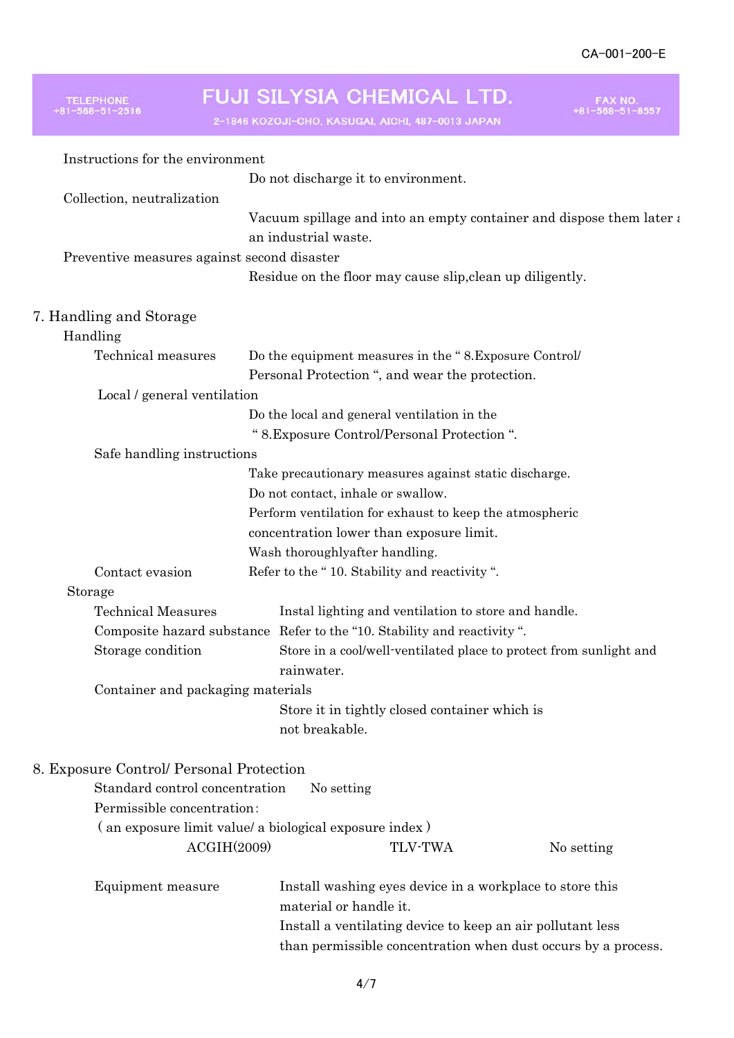# TELEPHONE<br>+81-568-51-2516

# FUJI SILYSIA CHEMICAL LTD.

2-1846 KOZOJI-CHO, KASUGAI, AICHI, 487-0013 JAPAN

FAX NO.<br>+81-568-51-8557

| Instructions for the environment            |                                                                                                       |  |
|---------------------------------------------|-------------------------------------------------------------------------------------------------------|--|
|                                             | Do not discharge it to environment.                                                                   |  |
| Collection, neutralization                  |                                                                                                       |  |
|                                             | Vacuum spillage and into an empty container and dispose them later $\epsilon$<br>an industrial waste. |  |
| Preventive measures against second disaster |                                                                                                       |  |
|                                             | Residue on the floor may cause slip, clean up diligently.                                             |  |
| 7. Handling and Storage                     |                                                                                                       |  |
| Handling                                    |                                                                                                       |  |
| Technical measures                          | Do the equipment measures in the "8. Exposure Control/                                                |  |
|                                             | Personal Protection ", and wear the protection.                                                       |  |
| Local / general ventilation                 |                                                                                                       |  |
|                                             | Do the local and general ventilation in the                                                           |  |
|                                             | " 8. Exposure Control/Personal Protection ".                                                          |  |
| Safe handling instructions                  |                                                                                                       |  |
|                                             | Take precautionary measures against static discharge.                                                 |  |
|                                             | Do not contact, inhale or swallow.                                                                    |  |
|                                             | Perform ventilation for exhaust to keep the atmospheric                                               |  |
|                                             | concentration lower than exposure limit.                                                              |  |
|                                             | Wash thoroughlyafter handling.                                                                        |  |
| Contact evasion                             | Refer to the "10. Stability and reactivity".                                                          |  |
| Storage                                     |                                                                                                       |  |
| <b>Technical Measures</b>                   | Instal lighting and ventilation to store and handle.                                                  |  |
|                                             | Composite hazard substance Refer to the "10. Stability and reactivity".                               |  |
| Storage condition                           | Store in a cool/well-ventilated place to protect from sunlight and                                    |  |
|                                             | rainwater.                                                                                            |  |
| Container and packaging materials           |                                                                                                       |  |
|                                             | Store it in tightly closed container which is<br>not breakable.                                       |  |
| 8. Exposure Control/ Personal Protection    |                                                                                                       |  |
| Standard control concentration              | No setting                                                                                            |  |
| Permissible concentration:                  |                                                                                                       |  |
|                                             | (an exposure limit value/ a biological exposure index)                                                |  |
| ACGHH(2009)                                 | <b>TLV-TWA</b><br>No setting                                                                          |  |
| Equipment measure                           | Install washing eyes device in a workplace to store this<br>material or handle it.                    |  |
|                                             | Install a ventilating device to keep an air pollutant less                                            |  |
|                                             | than permissible concentration when dust occurs by a process.                                         |  |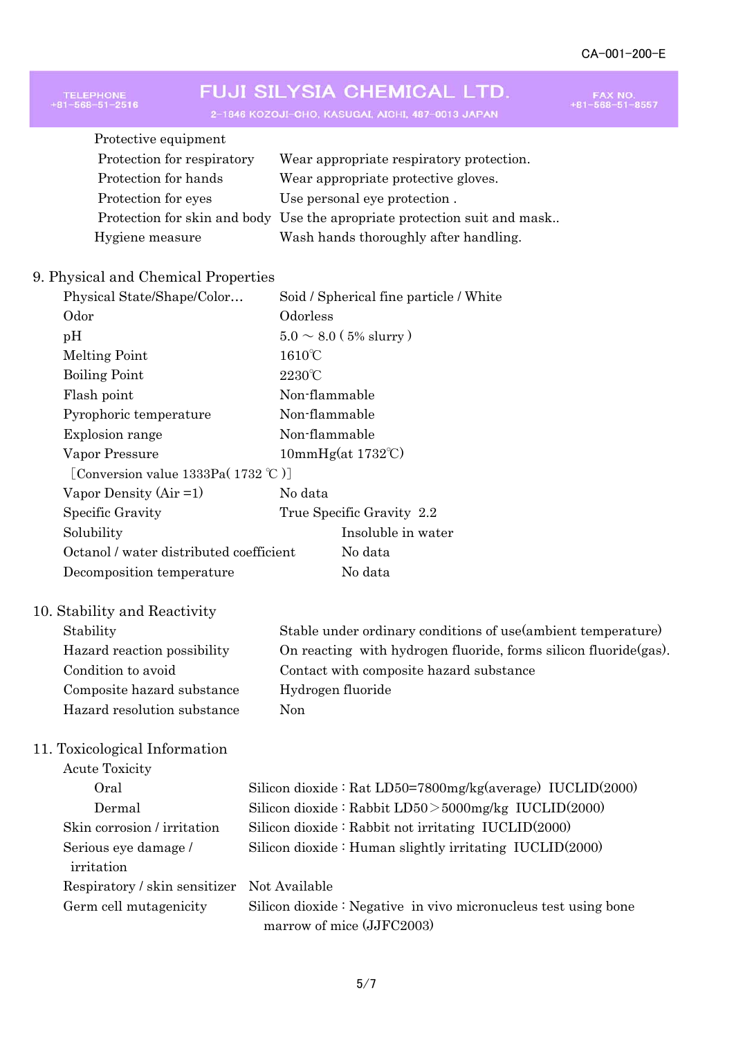FAX NO.<br>+81-568-51-8557

# FUJI SILYSIA CHEMICAL LTD.

TELEPHONE<br>+81-568-51-2516

2-1846 KOZOJI-CHO, KASUGAI, AICHI, 487-0013 JAPAN

| Wear appropriate respiratory protection.                                 |
|--------------------------------------------------------------------------|
| Wear appropriate protective gloves.                                      |
| Use personal eye protection.                                             |
| Protection for skin and body Use the apropriate protection suit and mask |
| Wash hands thoroughly after handling.                                    |
|                                                                          |

#### 9. Physical and Chemical Properties

| Physical State/Shape/Color              | Soid / Spherical fine particle / White |  |
|-----------------------------------------|----------------------------------------|--|
| Odor                                    | Odorless                               |  |
| pH                                      | $5.0 \sim 8.0$ (5% slurry)             |  |
| Melting Point                           | $1610^{\circ}$ C                       |  |
| <b>Boiling Point</b>                    | $2230^{\circ}$ C                       |  |
| Flash point                             | Non-flammable                          |  |
| Pyrophoric temperature                  | Non-flammable                          |  |
| Explosion range                         | Non-flammable                          |  |
| Vapor Pressure                          | 10mmHg(at 1732°C)                      |  |
| [Conversion value 1333Pa( $1732$ °C)]   |                                        |  |
| Vapor Density $(Air = 1)$               | No data                                |  |
| Specific Gravity                        | True Specific Gravity 2.2              |  |
| Solubility                              | Insoluble in water                     |  |
| Octanol / water distributed coefficient | No data                                |  |
| Decomposition temperature               | No data                                |  |

#### 10. Stability and Reactivity

| Stability                   | Stable under ordinary conditions of use (ambient temperature)     |
|-----------------------------|-------------------------------------------------------------------|
| Hazard reaction possibility | On reacting with hydrogen fluoride, forms silicon fluoride (gas). |
| Condition to avoid          | Contact with composite hazard substance                           |
| Composite hazard substance  | Hydrogen fluoride                                                 |
| Hazard resolution substance | Non                                                               |
|                             |                                                                   |

#### 11. Toxicological Information

| <b>Acute Toxicity</b>                       |                                                                |
|---------------------------------------------|----------------------------------------------------------------|
| Oral                                        | Silicon dioxide: Rat LD50=7800mg/kg(average) IUCLID(2000)      |
| Dermal                                      | Silicon dioxide: Rabbit $LD50 > 5000$ mg/kg $IUCLID(2000)$     |
| Skin corrosion / irritation                 | Silicon dioxide : Rabbit not irritating $IUCLID(2000)$         |
| Serious eye damage /                        | Silicon dioxide : Human slightly irritating $IUCLID(2000)$     |
| irritation                                  |                                                                |
| Respiratory / skin sensitizer Not Available |                                                                |
| Germ cell mutagenicity                      | Silicon dioxide: Negative in vivo micronucleus test using bone |
|                                             | marrow of mice (JJFC2003)                                      |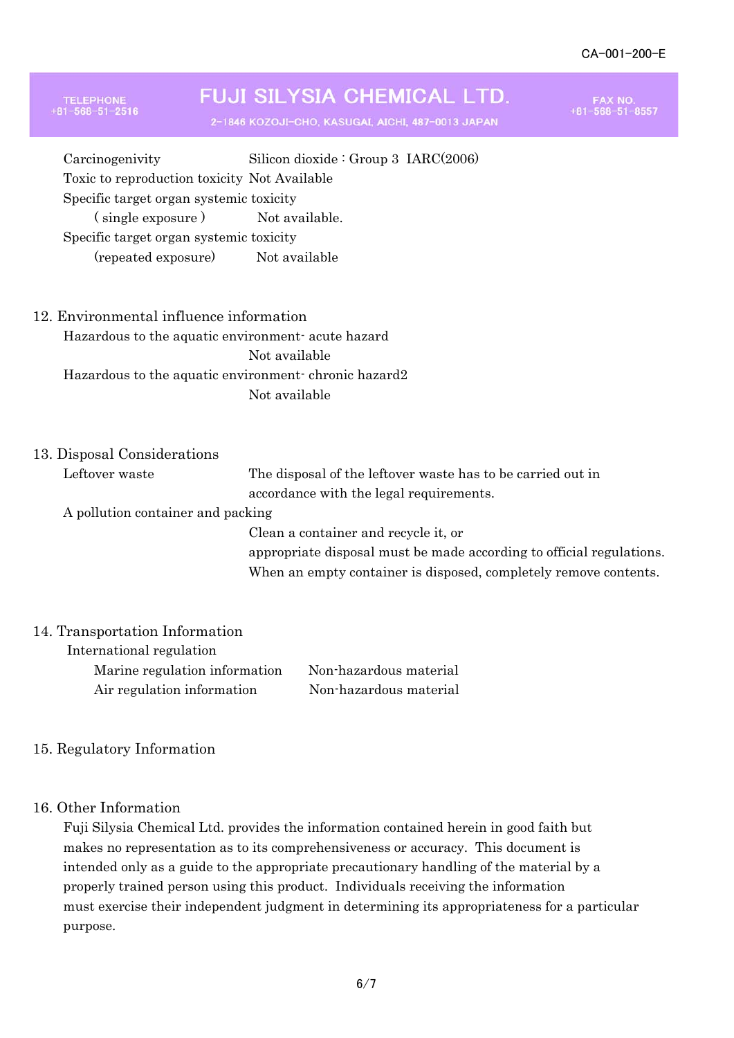### **FUJI SILYSIA CHEMICAL LTD.**

2-1846 KOZOJI-CHO, KASUGAI, AICHI, 487-0013 JAPAN

FAX NO.<br>I-568-51-8557

Carcinogenivity Silicon dioxide : Group 3 IARC(2006) Toxic to reproduction toxicity Not Available Specific target organ systemic toxicity (single exposure) Not available. Specific target organ systemic toxicity

(repeated exposure) Not available

#### 12. Environmental influence information

Hazardous to the aquatic environment- acute hazard Not available Hazardous to the aquatic environment- chronic hazard2 Not available

#### 13. Disposal Considerations

TELEPHONE<br>81-568-51-2516

Leftover waste The disposal of the leftover waste has to be carried out in accordance with the legal requirements. A pollution container and packing Clean a container and recycle it, or appropriate disposal must be made according to official regulations. When an empty container is disposed, completely remove contents.

#### 14. Transportation Information

| International regulation      |                        |
|-------------------------------|------------------------|
| Marine regulation information | Non-hazardous material |
| Air regulation information    | Non-hazardous material |

#### 15. Regulatory Information

#### 16. Other Information

Fuji Silysia Chemical Ltd. provides the information contained herein in good faith but makes no representation as to its comprehensiveness or accuracy. This document is intended only as a guide to the appropriate precautionary handling of the material by a properly trained person using this product. Individuals receiving the information must exercise their independent judgment in determining its appropriateness for a particular purpose.